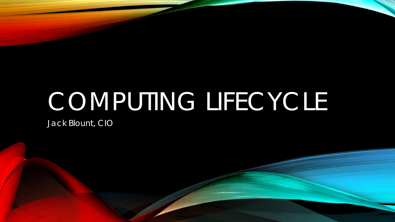# COMPUTING LIFECYCLE

Jack Blount, CIO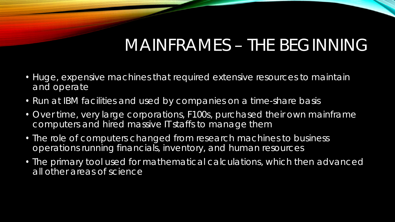# MAINFRAMES – THE BEGINNING

- Huge, expensive machines that required extensive resources to maintain and operate
- Run at IBM facilities and used by companies on a time-share basis
- Over time, very large corporations, F100s, purchased their own mainframe computers and hired massive IT staffs to manage them
- The role of computers changed from research machines to business operations running financials, inventory, and human resources
- The primary tool used for mathematical calculations, which then advanced all other areas of science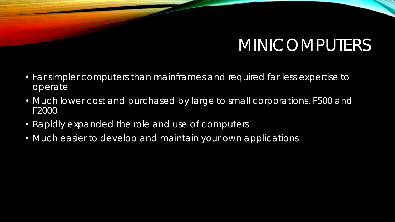# MINICOMPUTERS

- Far simpler computers than mainframes and required far less expertise to operate
- Much lower cost and purchased by large to small corporations, F500 and F2000
- Rapidly expanded the role and use of computers
- Much easier to develop and maintain your own applications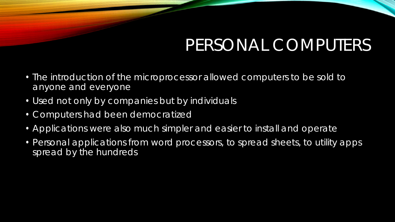### PERSONAL COMPUTERS

- The introduction of the microprocessor allowed computers to be sold to anyone and everyone
- Used not only by companies but by individuals
- Computers had been democratized
- Applications were also much simpler and easier to install and operate
- Personal applications from word processors, to spread sheets, to utility apps spread by the hundreds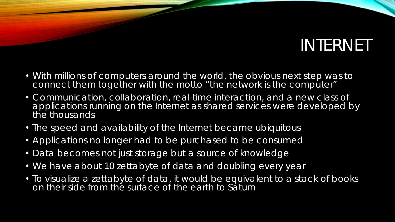# INTERNET

- With millions of computers around the world, the obvious next step was to connect them together with the motto "the network is the computer"
- Communication, collaboration, real-time interaction, and a new class of applications running on the Internet as shared services were developed by the thousands
- The speed and availability of the Internet became ubiquitous
- Applications no longer had to be purchased to be consumed
- Data becomes not just storage but a source of knowledge
- We have about 10 zettabyte of data and doubling every year
- To visualize a zettabyte of data, it would be equivalent to a stack of books on their side from the surface of the earth to Saturn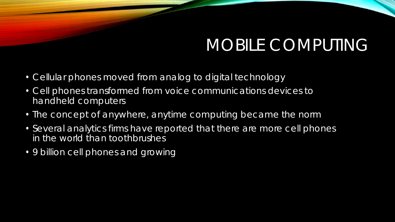# MOBILE COMPUTING

- Cellular phones moved from analog to digital technology
- Cell phones transformed from voice communications devices to handheld computers
- The concept of anywhere, anytime computing became the norm
- Several analytics firms have reported that there are more cell phones in the world than toothbrushes
- 9 billion cell phones and growing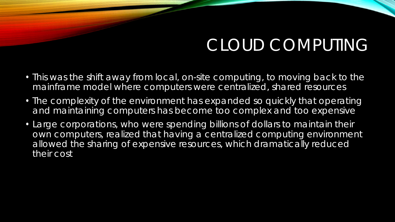### CLOUD COMPUTING

- This was the shift away from local, on-site computing, to moving back to the mainframe model where computers were centralized, shared resources
- The complexity of the environment has expanded so quickly that operating and maintaining computers has become too complex and too expensive
- Large corporations, who were spending billions of dollars to maintain their own computers, realized that having a centralized computing environment allowed the sharing of expensive resources, which dramatically reduced their cost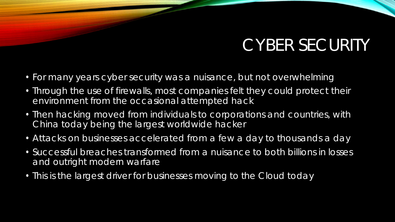# CYBER SECURITY

- For many years cyber security was a nuisance, but not overwhelming
- Through the use of firewalls, most companies felt they could protect their environment from the occasional attempted hack
- Then hacking moved from individuals to corporations and countries, with China today being the largest worldwide hacker
- Attacks on businesses accelerated from a few a day to thousands a day
- Successful breaches transformed from a nuisance to both billions in losses and outright modern warfare
- This is the largest driver for businesses moving to the Cloud today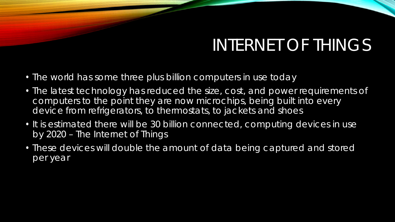# INTERNET OF THINGS

- The world has some three plus billion computers in use today
- The latest technology has reduced the size, cost, and power requirements of computers to the point they are now microchips, being built into every device from refrigerators, to thermostats, to jackets and shoes
- It is estimated there will be 30 billion connected, computing devices in use by 2020 – The Internet of Things
- These devices will double the amount of data being captured and stored per year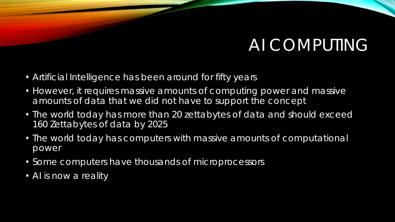#### AI COMPUTING

- Artificial Intelligence has been around for fifty years
- However, it requires massive amounts of computing power and massive amounts of data that we did not have to support the concept
- The world today has more than 20 zettabytes of data and should exceed 160 Zettabytes of data by 2025
- The world today has computers with massive amounts of computational power
- Some computers have thousands of microprocessors
- Al is now a reality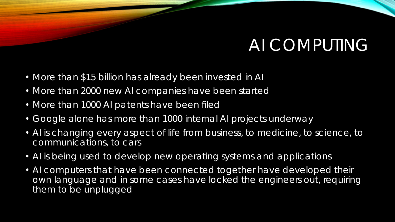#### AI COMPUTING

- More than \$15 billion has already been invested in AI
- More than 2000 new AI companies have been started
- More than 1000 AI patents have been filed
- Google alone has more than 1000 internal AI projects underway
- AI is changing every aspect of life from business, to medicine, to science, to communications, to cars
- AI is being used to develop new operating systems and applications
- AI computers that have been connected together have developed their own language and in some cases have locked the engineers out, requiring them to be unplugged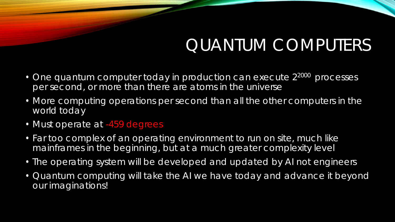# QUANTUM COMPUTERS

- One quantum computer today in production can execute 2<sup>2000</sup> processes per second, or more than there are atoms in the universe
- More computing operations per second than all the other computers in the world today
- Must operate at -459 degrees
- Far too complex of an operating environment to run on site, much like mainframes in the beginning, but at a much greater complexity level
- The operating system will be developed and updated by AI not engineers
- Quantum computing will take the AI we have today and advance it beyond our imaginations!